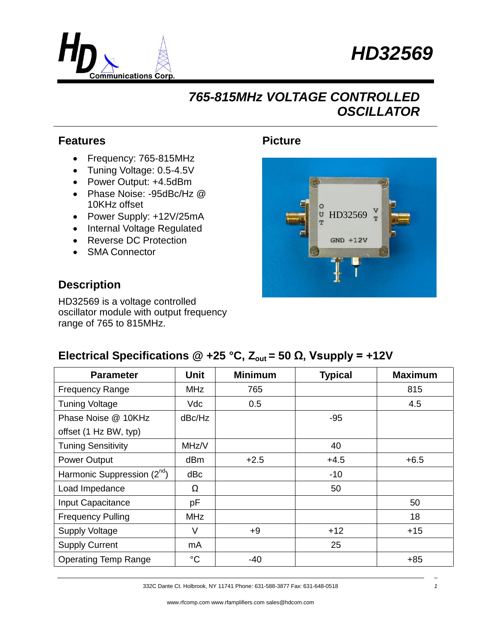



## *765-815MHz VOLTAGE CONTROLLED OSCILLATOR*

#### **Features**

- Frequency: 765-815MHz
- Tuning Voltage: 0.5-4.5V
- Power Output: +4.5dBm
- Phase Noise: -95dBc/Hz @ 10KHz offset
- Power Supply: +12V/25mA
- Internal Voltage Regulated
- Reverse DC Protection
- SMA Connector

#### **Description**

HD32569 is a voltage controlled oscillator module with output frequency range of 765 to 815MHz.

### **Picture**



### **Electrical Specifications @ +25 °C,**  $Z_{\text{out}}$  **= 50 Ω, Vsupply = +12V**

| <b>Parameter</b>                        | <b>Unit</b>     | <b>Minimum</b> | <b>Typical</b> | <b>Maximum</b> |
|-----------------------------------------|-----------------|----------------|----------------|----------------|
| <b>Frequency Range</b>                  | <b>MHz</b>      | 765            |                | 815            |
| <b>Tuning Voltage</b>                   | Vdc             | 0.5            |                | 4.5            |
| Phase Noise @ 10KHz                     | dBc/Hz          |                | $-95$          |                |
| offset (1 Hz BW, typ)                   |                 |                |                |                |
| <b>Tuning Sensitivity</b>               | MHz/V           |                | 40             |                |
| Power Output                            | dB <sub>m</sub> | $+2.5$         | $+4.5$         | $+6.5$         |
| Harmonic Suppression (2 <sup>nd</sup> ) | dBc             |                | $-10$          |                |
| Load Impedance                          | Ω               |                | 50             |                |
| Input Capacitance                       | pF              |                |                | 50             |
| <b>Frequency Pulling</b>                | <b>MHz</b>      |                |                | 18             |
| <b>Supply Voltage</b>                   | V               | $+9$           | $+12$          | $+15$          |
| <b>Supply Current</b>                   | mA              |                | 25             |                |
| <b>Operating Temp Range</b>             | $^{\circ}C$     | -40            |                | $+85$          |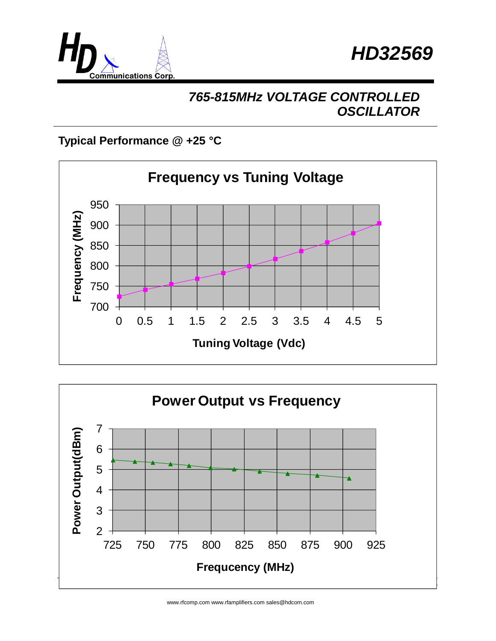



# *765-815MHz VOLTAGE CONTROLLED OSCILLATOR*

## **Typical Performance @ +25 °C**





www.rfcomp.com www.rfamplifiers.com sales@hdcom.com